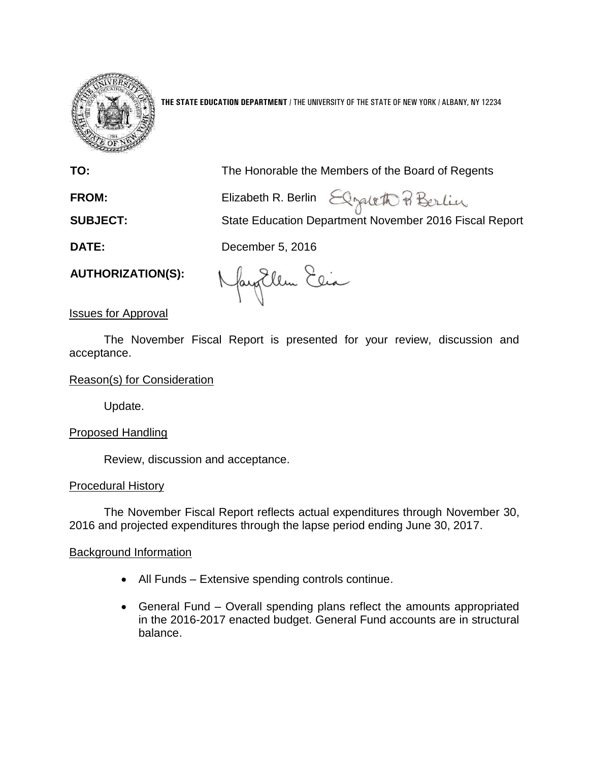

**THE STATE EDUCATION DEPARTMENT** / THE UNIVERSITY OF THE STATE OF NEW YORK / ALBANY, NY 12234

| TO:                      | The Honorable the Members of the Board of Regents                                                |
|--------------------------|--------------------------------------------------------------------------------------------------|
| <b>FROM:</b>             | Elizabeth R. Berlin Elizabeth P Berlin<br>State Education Department November 2016 Fiscal Report |
| <b>SUBJECT:</b>          |                                                                                                  |
| <b>DATE:</b>             | December 5, 2016                                                                                 |
| <b>AUTHORIZATION(S):</b> | $\left(1\right)$ $\left(2\right)$ $\left(2\right)$                                               |

fayallen Clea

Issues for Approval

The November Fiscal Report is presented for your review, discussion and acceptance.

# Reason(s) for Consideration

Update.

# Proposed Handling

Review, discussion and acceptance.

## Procedural History

The November Fiscal Report reflects actual expenditures through November 30, 2016 and projected expenditures through the lapse period ending June 30, 2017.

## Background Information

- All Funds Extensive spending controls continue.
- General Fund Overall spending plans reflect the amounts appropriated in the 2016-2017 enacted budget. General Fund accounts are in structural balance.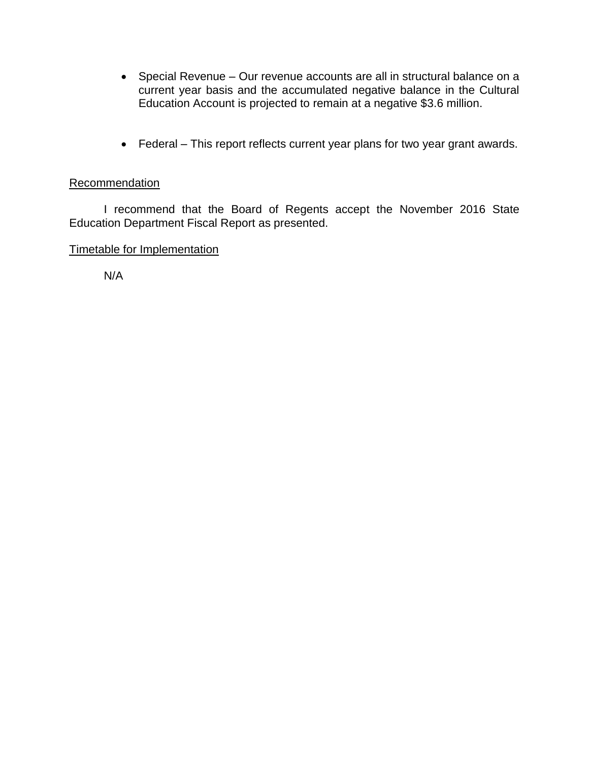- Special Revenue Our revenue accounts are all in structural balance on a current year basis and the accumulated negative balance in the Cultural Education Account is projected to remain at a negative \$3.6 million.
- Federal This report reflects current year plans for two year grant awards.

# Recommendation

I recommend that the Board of Regents accept the November 2016 State Education Department Fiscal Report as presented.

# Timetable for Implementation

N/A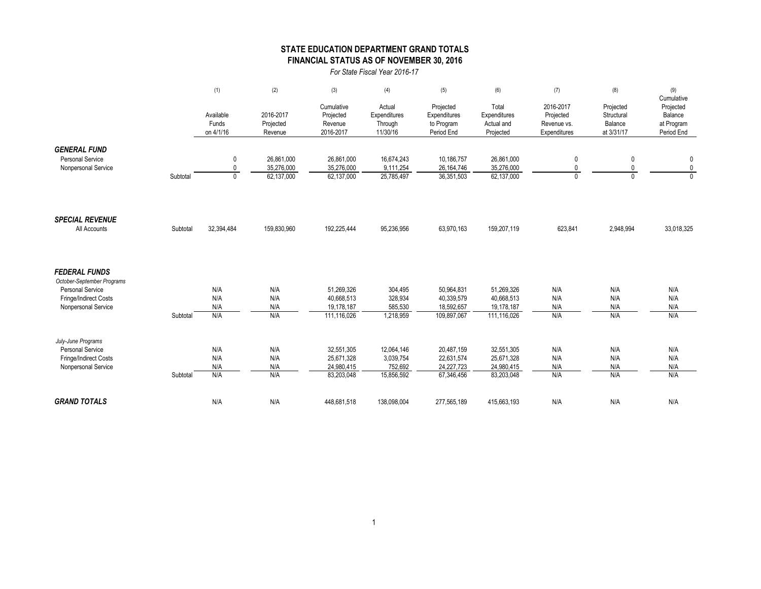## **STATE EDUCATION DEPARTMENT GRAND TOTALS FINANCIAL STATUS AS OF NOVEMBER 30, 2016**

*For State Fiscal Year 2016-17*

|                                                |          | (1)                             | (2)                               | (3)                                             | (4)                                           | (5)                                                   | (6)                                              | (7)                                                   | (8)                                              | (9)                                                            |
|------------------------------------------------|----------|---------------------------------|-----------------------------------|-------------------------------------------------|-----------------------------------------------|-------------------------------------------------------|--------------------------------------------------|-------------------------------------------------------|--------------------------------------------------|----------------------------------------------------------------|
|                                                |          | Available<br>Funds<br>on 4/1/16 | 2016-2017<br>Projected<br>Revenue | Cumulative<br>Projected<br>Revenue<br>2016-2017 | Actual<br>Expenditures<br>Through<br>11/30/16 | Projected<br>Expenditures<br>to Program<br>Period End | Total<br>Expenditures<br>Actual and<br>Projected | 2016-2017<br>Projected<br>Revenue vs.<br>Expenditures | Projected<br>Structural<br>Balance<br>at 3/31/17 | Cumulative<br>Projected<br>Balance<br>at Program<br>Period End |
| <b>GENERAL FUND</b>                            |          |                                 |                                   |                                                 |                                               |                                                       |                                                  |                                                       |                                                  |                                                                |
| <b>Personal Service</b><br>Nonpersonal Service |          | 0<br>$\mathbf{0}$               | 26,861,000<br>35,276,000          | 26,861,000<br>35,276,000                        | 16,674,243<br>9,111,254                       | 10,186,757<br>26, 164, 746                            | 26,861,000<br>35,276,000                         | 0<br>0                                                | 0<br>0                                           | $\pmb{0}$<br>$\mathbf 0$                                       |
|                                                | Subtotal | $\Omega$                        | 62,137,000                        | 62,137,000                                      | 25,785,497                                    | 36,351,503                                            | 62,137,000                                       | $\Omega$                                              | $\Omega$                                         | $\Omega$                                                       |
| <b>SPECIAL REVENUE</b>                         |          |                                 |                                   |                                                 |                                               |                                                       |                                                  |                                                       |                                                  |                                                                |
| All Accounts                                   | Subtotal | 32,394,484                      | 159,830,960                       | 192,225,444                                     | 95,236,956                                    | 63,970,163                                            | 159,207,119                                      | 623,841                                               | 2,948,994                                        | 33,018,325                                                     |
| <b>FEDERAL FUNDS</b>                           |          |                                 |                                   |                                                 |                                               |                                                       |                                                  |                                                       |                                                  |                                                                |
| October-September Programs<br>Personal Service |          | N/A                             | N/A                               | 51,269,326                                      | 304,495                                       | 50,964,831                                            | 51,269,326                                       | N/A                                                   | N/A                                              | N/A                                                            |
| Fringe/Indirect Costs                          |          | N/A                             | N/A                               | 40,668,513                                      | 328,934                                       | 40,339,579                                            | 40,668,513                                       | N/A                                                   | N/A                                              | N/A                                                            |
| Nonpersonal Service                            |          | N/A                             | N/A                               | 19,178,187                                      | 585,530                                       | 18,592,657                                            | 19,178,187                                       | N/A                                                   | N/A                                              | N/A                                                            |
|                                                | Subtotal | N/A                             | N/A                               | 111,116,026                                     | 1,218,959                                     | 109,897,067                                           | 111,116,026                                      | N/A                                                   | N/A                                              | N/A                                                            |
| July-June Programs                             |          |                                 |                                   |                                                 |                                               |                                                       |                                                  |                                                       |                                                  |                                                                |
| <b>Personal Service</b>                        |          | N/A                             | N/A                               | 32,551,305                                      | 12,064,146                                    | 20,487,159                                            | 32,551,305                                       | N/A                                                   | N/A                                              | N/A                                                            |
| Fringe/Indirect Costs                          |          | N/A                             | N/A                               | 25,671,328                                      | 3,039,754                                     | 22,631,574                                            | 25,671,328                                       | N/A                                                   | N/A                                              | N/A                                                            |
| Nonpersonal Service                            | Subtotal | N/A<br>N/A                      | N/A<br>N/A                        | 24,980,415<br>83,203,048                        | 752,692<br>15,856,592                         | 24,227,723<br>67,346,456                              | 24,980,415<br>83,203,048                         | N/A<br>N/A                                            | N/A<br>N/A                                       | N/A<br>N/A                                                     |
|                                                |          |                                 |                                   |                                                 |                                               |                                                       |                                                  |                                                       |                                                  |                                                                |
| <b>GRAND TOTALS</b>                            |          | N/A                             | N/A                               | 448,681,518                                     | 138,098,004                                   | 277,565,189                                           | 415,663,193                                      | N/A                                                   | N/A                                              | N/A                                                            |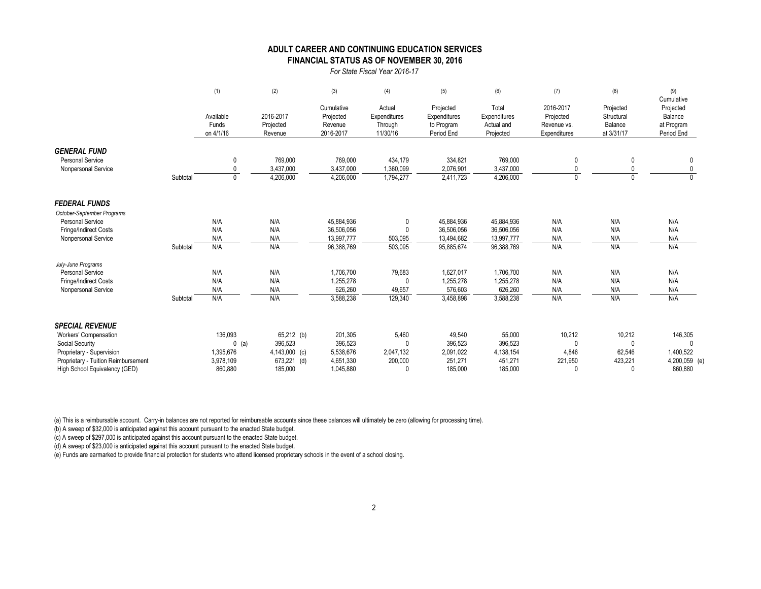#### **FINANCIAL STATUS AS OF NOVEMBER 30, 2016 ADULT CAREER AND CONTINUING EDUCATION SERVICES**

*For State Fiscal Year 2016-17*

|                                                |          | (1)                             | (2)                               | (3)                                             | (4)                                           | (5)                                                   | (6)                                              | (7)                                                   | (8)                                              | (9)<br>Cumulative                                |
|------------------------------------------------|----------|---------------------------------|-----------------------------------|-------------------------------------------------|-----------------------------------------------|-------------------------------------------------------|--------------------------------------------------|-------------------------------------------------------|--------------------------------------------------|--------------------------------------------------|
|                                                |          | Available<br>Funds<br>on 4/1/16 | 2016-2017<br>Projected<br>Revenue | Cumulative<br>Projected<br>Revenue<br>2016-2017 | Actual<br>Expenditures<br>Through<br>11/30/16 | Projected<br>Expenditures<br>to Program<br>Period End | Total<br>Expenditures<br>Actual and<br>Projected | 2016-2017<br>Projected<br>Revenue vs.<br>Expenditures | Projected<br>Structural<br>Balance<br>at 3/31/17 | Projected<br>Balance<br>at Program<br>Period End |
| <b>GENERAL FUND</b><br><b>Personal Service</b> |          |                                 |                                   |                                                 |                                               |                                                       |                                                  |                                                       |                                                  |                                                  |
| Nonpersonal Service                            |          | $\mathbf{0}$<br>$\mathbf{0}$    | 769,000<br>3,437,000              | 769,000<br>3,437,000                            | 434,179<br>1,360,099                          | 334,821<br>2,076,901                                  | 769,000<br>3,437,000                             | 0<br>$\mathbf{0}$                                     |                                                  | 0<br>0                                           |
|                                                | Subtotal | $\mathbf{0}$                    | 4,206,000                         | 4,206,000                                       | 1,794,277                                     | 2,411,723                                             | 4,206,000                                        | $\mathbf 0$                                           | $\Omega$                                         | $\overline{0}$                                   |
| <b>FEDERAL FUNDS</b>                           |          |                                 |                                   |                                                 |                                               |                                                       |                                                  |                                                       |                                                  |                                                  |
| October-September Programs                     |          |                                 |                                   |                                                 |                                               |                                                       |                                                  |                                                       |                                                  |                                                  |
| Personal Service                               |          | N/A                             | N/A                               | 45,884,936                                      | 0                                             | 45,884,936                                            | 45,884,936                                       | N/A                                                   | N/A                                              | N/A                                              |
| Fringe/Indirect Costs                          |          | N/A                             | N/A                               | 36,506,056                                      |                                               | 36,506,056                                            | 36,506,056                                       | N/A                                                   | N/A                                              | N/A                                              |
| Nonpersonal Service                            |          | N/A                             | N/A                               | 13,997,777                                      | 503,095                                       | 13,494,682                                            | 13,997,777                                       | N/A                                                   | N/A                                              | N/A                                              |
|                                                | Subtotal | N/A                             | N/A                               | 96,388,769                                      | 503,095                                       | 95,885,674                                            | 96,388,769                                       | N/A                                                   | N/A                                              | N/A                                              |
| July-June Programs                             |          |                                 |                                   |                                                 |                                               |                                                       |                                                  |                                                       |                                                  |                                                  |
| <b>Personal Service</b>                        |          | N/A                             | N/A                               | 1,706,700                                       | 79,683                                        | 1,627,017                                             | 1,706,700                                        | N/A                                                   | N/A                                              | N/A                                              |
| Fringe/Indirect Costs                          |          | N/A                             | N/A                               | 1,255,278                                       | $\Omega$                                      | 1,255,278                                             | 1,255,278                                        | N/A                                                   | N/A                                              | N/A                                              |
| Nonpersonal Service                            |          | N/A                             | N/A                               | 626,260                                         | 49,657                                        | 576,603                                               | 626,260                                          | N/A                                                   | N/A                                              | N/A                                              |
|                                                | Subtotal | N/A                             | N/A                               | 3,588,238                                       | 129,340                                       | 3,458,898                                             | 3,588,238                                        | N/A                                                   | N/A                                              | N/A                                              |
| <b>SPECIAL REVENUE</b>                         |          |                                 |                                   |                                                 |                                               |                                                       |                                                  |                                                       |                                                  |                                                  |
| Workers' Compensation                          |          | 136,093                         | 65,212 (b)                        | 201,305                                         | 5,460                                         | 49,540                                                | 55,000                                           | 10,212                                                | 10,212                                           | 146,305                                          |
| Social Security                                |          | $0$ (a)                         | 396,523                           | 396,523                                         | $\Omega$                                      | 396,523                                               | 396,523                                          | $\Omega$                                              | $\Omega$                                         |                                                  |
| Proprietary - Supervision                      |          | 1,395,676                       | 4,143,000 (c)                     | 5,538,676                                       | 2,047,132                                     | 2,091,022                                             | 4,138,154                                        | 4,846                                                 | 62,546                                           | 1,400,522                                        |
| Proprietary - Tuition Reimbursement            |          | 3,978,109                       | 673,221 (d)                       | 4,651,330                                       | 200,000                                       | 251,271                                               | 451,271                                          | 221,950                                               | 423,221                                          | 4,200,059 (e)                                    |
| High School Equivalency (GED)                  |          | 860,880                         | 185,000                           | 1,045,880                                       |                                               | 185.000                                               | 185.000                                          | $\Omega$                                              | $\cup$                                           | 860.880                                          |

(a) This is a reimbursable account. Carry-in balances are not reported for reimbursable accounts since these balances will ultimately be zero (allowing for processing time).

(b) A sweep of \$32,000 is anticipated against this account pursuant to the enacted State budget.

(c) A sweep of \$297,000 is anticipated against this account pursuant to the enacted State budget.

(d) A sweep of \$23,000 is anticipated against this account pursuant to the enacted State budget.

(e) Funds are earmarked to provide financial protection for students who attend licensed proprietary schools in the event of a school closing.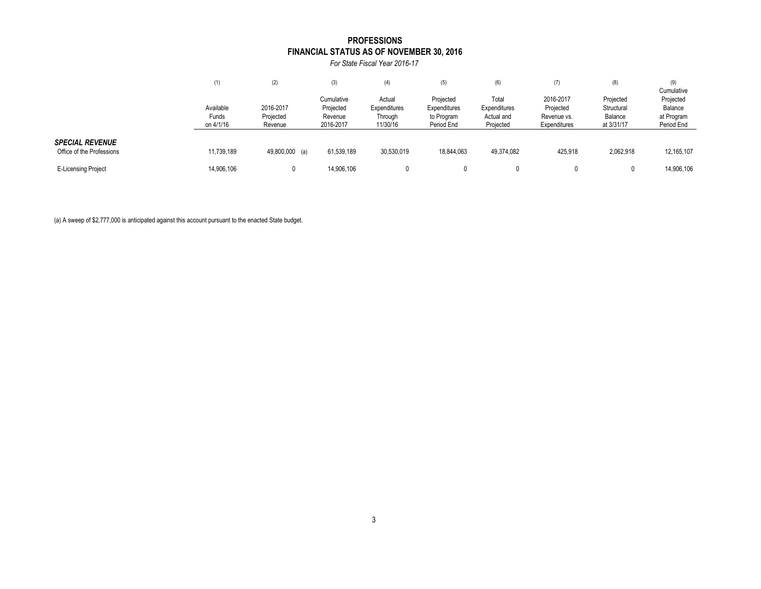### **FINANCIAL STATUS AS OF NOVEMBER 30, 2016 PROFESSIONS**

*For State Fiscal Year 2016-17*

|                                                     | (1)                             | (2)                               | (3)                                             | (4)                                           | (5)                                                   | (6)                                              | (7)                                                   | (8)                                              | (9)<br>Cumulative                                |
|-----------------------------------------------------|---------------------------------|-----------------------------------|-------------------------------------------------|-----------------------------------------------|-------------------------------------------------------|--------------------------------------------------|-------------------------------------------------------|--------------------------------------------------|--------------------------------------------------|
|                                                     | Available<br>Funds<br>on 4/1/16 | 2016-2017<br>Projected<br>Revenue | Cumulative<br>Projected<br>Revenue<br>2016-2017 | Actual<br>Expenditures<br>Through<br>11/30/16 | Projected<br>Expenditures<br>to Program<br>Period End | Total<br>Expenditures<br>Actual and<br>Projected | 2016-2017<br>Projected<br>Revenue vs.<br>Expenditures | Projected<br>Structural<br>Balance<br>at 3/31/17 | Projected<br>Balance<br>at Program<br>Period End |
| <b>SPECIAL REVENUE</b><br>Office of the Professions | 11,739,189                      | 49,800,000 (a)                    | 61,539,189                                      | 30,530,019                                    | 18,844,063                                            | 49,374,082                                       | 425.918                                               | 2,062,918                                        | 12, 165, 107                                     |
| <b>E-Licensing Project</b>                          | 14,906,106                      |                                   | 14,906,106                                      |                                               |                                                       |                                                  |                                                       |                                                  | 14,906,106                                       |

(a) A sweep of \$2,777,000 is anticipated against this account pursuant to the enacted State budget.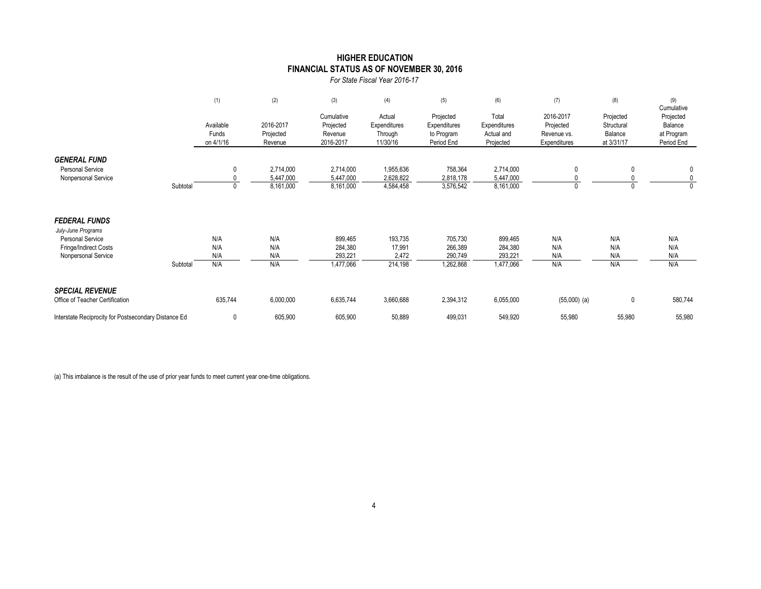### **HIGHER EDUCATION FINANCIAL STATUS AS OF NOVEMBER 30, 2016**

*For State Fiscal Year 2016-17*

|                                                                                                                       |          | (1)                             | (2)                                 | (3)                                             | (4)                                           | (5)                                                   | (6)                                              | (7)                                                   | (8)                                              | (9)<br>Cumulative                                |
|-----------------------------------------------------------------------------------------------------------------------|----------|---------------------------------|-------------------------------------|-------------------------------------------------|-----------------------------------------------|-------------------------------------------------------|--------------------------------------------------|-------------------------------------------------------|--------------------------------------------------|--------------------------------------------------|
|                                                                                                                       |          | Available<br>Funds<br>on 4/1/16 | 2016-2017<br>Projected<br>Revenue   | Cumulative<br>Projected<br>Revenue<br>2016-2017 | Actual<br>Expenditures<br>Through<br>11/30/16 | Projected<br>Expenditures<br>to Program<br>Period End | Total<br>Expenditures<br>Actual and<br>Projected | 2016-2017<br>Projected<br>Revenue vs.<br>Expenditures | Projected<br>Structural<br>Balance<br>at 3/31/17 | Projected<br>Balance<br>at Program<br>Period End |
| <b>GENERAL FUND</b><br><b>Personal Service</b><br>Nonpersonal Service                                                 | Subtotal | 0                               | 2,714,000<br>5,447,000<br>8,161,000 | 2,714,000<br>5,447,000<br>8,161,000             | 1,955,636<br>2,628,822<br>4,584,458           | 758,364<br>2,818,178<br>3,576,542                     | 2,714,000<br>5,447,000<br>8,161,000              | 0<br>0                                                |                                                  | 0<br>$\mathbf 0$<br>$\mathbf{0}$                 |
| <b>FEDERAL FUNDS</b><br>July-June Programs<br><b>Personal Service</b><br>Fringe/Indirect Costs<br>Nonpersonal Service | Subtotal | N/A<br>N/A<br>N/A<br>N/A        | N/A<br>N/A<br>N/A<br>N/A            | 899,465<br>284,380<br>293,221<br>1,477,066      | 193,735<br>17,991<br>2,472<br>214,198         | 705,730<br>266,389<br>290,749<br>1,262,868            | 899,465<br>284,380<br>293,221<br>1,477,066       | N/A<br>N/A<br>N/A<br>N/A                              | N/A<br>N/A<br>N/A<br>N/A                         | N/A<br>N/A<br>N/A<br>N/A                         |
| <b>SPECIAL REVENUE</b><br>Office of Teacher Certification                                                             |          | 635,744                         | 6,000,000                           | 6,635,744                                       | 3,660,688                                     | 2,394,312                                             | 6,055,000                                        | $(55,000)$ (a)                                        | 0                                                | 580,744                                          |
| Interstate Reciprocity for Postsecondary Distance Ed                                                                  |          | 0                               | 605,900                             | 605,900                                         | 50,889                                        | 499,031                                               | 549,920                                          | 55,980                                                | 55,980                                           | 55,980                                           |

(a) This imbalance is the result of the use of prior year funds to meet current year one-time obligations.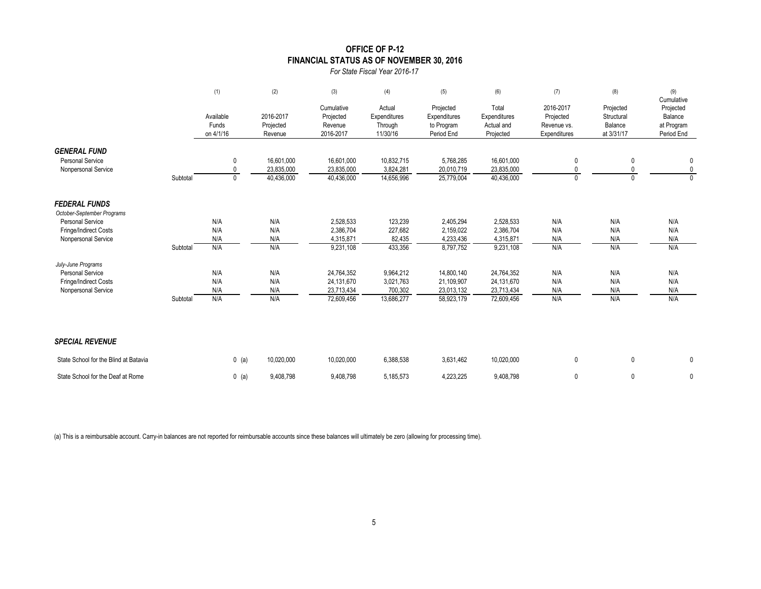# **OFFICE OF P-12 FINANCIAL STATUS AS OF NOVEMBER 30, 2016**

*For State Fiscal Year 2016-17*

|                                                                       |          | (1)                             | (2)                                    | (3)                                             | (4)                                           | (5)                                                   | (6)                                              | (7)                                                   | (8)                                              | (9)<br>Cumulative                                |
|-----------------------------------------------------------------------|----------|---------------------------------|----------------------------------------|-------------------------------------------------|-----------------------------------------------|-------------------------------------------------------|--------------------------------------------------|-------------------------------------------------------|--------------------------------------------------|--------------------------------------------------|
|                                                                       |          | Available<br>Funds<br>on 4/1/16 | 2016-2017<br>Projected<br>Revenue      | Cumulative<br>Projected<br>Revenue<br>2016-2017 | Actual<br>Expenditures<br>Through<br>11/30/16 | Projected<br>Expenditures<br>to Program<br>Period End | Total<br>Expenditures<br>Actual and<br>Projected | 2016-2017<br>Projected<br>Revenue vs.<br>Expenditures | Projected<br>Structural<br>Balance<br>at 3/31/17 | Projected<br>Balance<br>at Program<br>Period End |
| <b>GENERAL FUND</b><br><b>Personal Service</b><br>Nonpersonal Service | Subtotal | 0<br>$\mathbf{0}$<br>0          | 16.601.000<br>23,835,000<br>40,436,000 | 16,601,000<br>23,835,000<br>40,436,000          | 10,832,715<br>3,824,281<br>14,656,996         | 5,768,285<br>20,010,719<br>25,779,004                 | 16,601,000<br>23,835,000<br>40,436,000           | 0<br>$\Omega$                                         | 0<br>0                                           | 0<br>$\mathbf{0}$<br>$\Omega$                    |
| <b>FEDERAL FUNDS</b><br>October-September Programs                    |          |                                 |                                        |                                                 |                                               |                                                       |                                                  |                                                       |                                                  |                                                  |
| <b>Personal Service</b>                                               |          | N/A                             | N/A                                    | 2,528,533                                       | 123,239                                       | 2,405,294                                             | 2,528,533                                        | N/A                                                   | N/A                                              | N/A                                              |
| Fringe/Indirect Costs                                                 |          | N/A                             | N/A                                    | 2,386,704                                       | 227,682                                       | 2,159,022                                             | 2,386,704                                        | N/A                                                   | N/A                                              | N/A                                              |
| Nonpersonal Service                                                   |          | N/A                             | N/A                                    | 4,315,871                                       | 82,435                                        | 4,233,436                                             | 4,315,871                                        | N/A                                                   | N/A                                              | N/A                                              |
|                                                                       | Subtotal | N/A                             | N/A                                    | 9,231,108                                       | 433,356                                       | 8,797,752                                             | 9,231,108                                        | N/A                                                   | N/A                                              | N/A                                              |
| July-June Programs<br>Personal Service                                |          |                                 | N/A                                    |                                                 |                                               |                                                       |                                                  | N/A                                                   |                                                  |                                                  |
| Fringe/Indirect Costs                                                 |          | N/A<br>N/A                      | N/A                                    | 24,764,352<br>24,131,670                        | 9,964,212<br>3,021,763                        | 14,800,140<br>21,109,907                              | 24,764,352<br>24,131,670                         | N/A                                                   | N/A<br>N/A                                       | N/A<br>N/A                                       |
| Nonpersonal Service                                                   |          | N/A                             | N/A                                    | 23,713,434                                      | 700,302                                       | 23,013,132                                            | 23,713,434                                       | N/A                                                   | N/A                                              | N/A                                              |
|                                                                       | Subtotal | N/A                             | N/A                                    | 72,609,456                                      | 13,686,277                                    | 58,923,179                                            | 72,609,456                                       | N/A                                                   | N/A                                              | N/A                                              |
| <b>SPECIAL REVENUE</b>                                                |          |                                 |                                        |                                                 |                                               |                                                       |                                                  |                                                       |                                                  |                                                  |
| State School for the Blind at Batavia                                 |          | $0$ (a)                         | 10,020,000                             | 10,020,000                                      | 6,388,538                                     | 3,631,462                                             | 10,020,000                                       | $\mathbf 0$                                           | 0                                                | 0                                                |
| State School for the Deaf at Rome                                     |          | $0$ (a)                         | 9,408,798                              | 9,408,798                                       | 5,185,573                                     | 4.223.225                                             | 9.408.798                                        | 0                                                     | $\mathbf{0}$                                     | 0                                                |

(a) This is a reimbursable account. Carry-in balances are not reported for reimbursable accounts since these balances will ultimately be zero (allowing for processing time).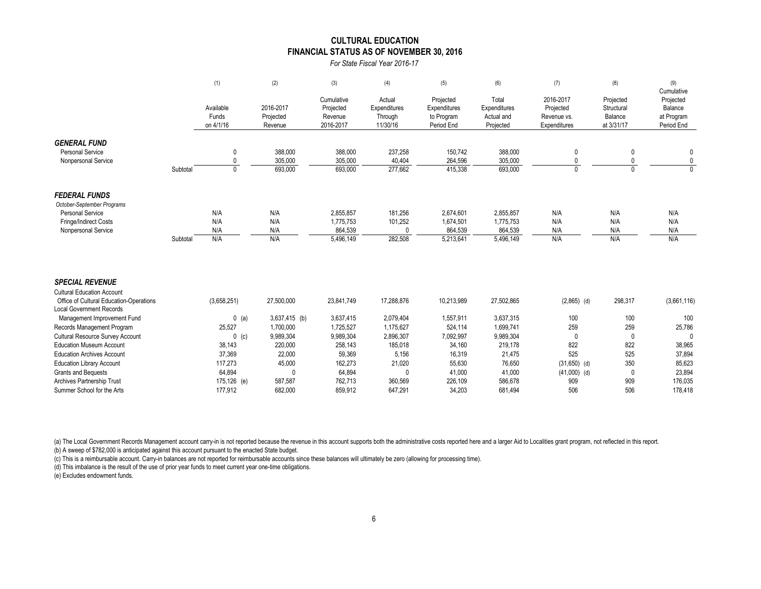#### **FINANCIAL STATUS AS OF NOVEMBER 30, 2016 CULTURAL EDUCATION**

*For State Fiscal Year 2016-17*

|                                                                                                                                           |          | (1)                             | (2)                               | (3)                                             | (4)                                           | (5)                                                   | (6)                                              | (7)                                                   | (8)                                              | (9)<br>Cumulative                                |
|-------------------------------------------------------------------------------------------------------------------------------------------|----------|---------------------------------|-----------------------------------|-------------------------------------------------|-----------------------------------------------|-------------------------------------------------------|--------------------------------------------------|-------------------------------------------------------|--------------------------------------------------|--------------------------------------------------|
|                                                                                                                                           |          | Available<br>Funds<br>on 4/1/16 | 2016-2017<br>Projected<br>Revenue | Cumulative<br>Projected<br>Revenue<br>2016-2017 | Actual<br>Expenditures<br>Through<br>11/30/16 | Projected<br>Expenditures<br>to Program<br>Period End | Total<br>Expenditures<br>Actual and<br>Projected | 2016-2017<br>Projected<br>Revenue vs.<br>Expenditures | Projected<br>Structural<br>Balance<br>at 3/31/17 | Projected<br>Balance<br>at Program<br>Period End |
| <b>GENERAL FUND</b><br><b>Personal Service</b><br>Nonpersonal Service                                                                     | Subtotal | 0<br>0<br>$\mathbf 0$           | 388,000<br>305,000<br>693,000     | 388,000<br>305,000<br>693,000                   | 237,258<br>40,404<br>277,662                  | 150,742<br>264,596<br>415,338                         | 388,000<br>305,000<br>693,000                    |                                                       | 0<br>$\mathbf{0}$                                | 0<br>0<br>$\mathbf{0}$                           |
| <b>FEDERAL FUNDS</b><br>October-September Programs<br><b>Personal Service</b>                                                             |          | N/A                             | N/A                               | 2,855,857                                       | 181,256                                       | 2,674,601                                             | 2,855,857                                        | N/A                                                   | N/A                                              | N/A                                              |
| Fringe/Indirect Costs<br>Nonpersonal Service                                                                                              | Subtotal | N/A<br>N/A<br>N/A               | N/A<br>N/A<br>N/A                 | 1,775,753<br>864,539<br>5,496,149               | 101,252<br>282,508                            | 1,674,501<br>864,539<br>5,213,641                     | 1,775,753<br>864,539<br>5,496,149                | N/A<br>N/A<br>N/A                                     | N/A<br>N/A<br>N/A                                | N/A<br>N/A<br>N/A                                |
| <b>SPECIAL REVENUE</b><br><b>Cultural Education Account</b><br>Office of Cultural Education-Operations<br><b>Local Government Records</b> |          | (3,658,251)                     | 27,500,000                        | 23,841,749                                      | 17,288,876                                    | 10,213,989                                            | 27,502,865                                       | $(2,865)$ (d)                                         | 298,317                                          | (3,661,116)                                      |
| Management Improvement Fund<br>Records Management Program                                                                                 |          | $0$ (a)<br>25,527               | $3,637,415$ (b)<br>1,700,000      | 3,637,415<br>1,725,527                          | 2,079,404<br>1,175,627                        | 1,557,911<br>524,114                                  | 3,637,315<br>1,699,741                           | 100<br>259                                            | 100<br>259                                       | 100<br>25,786                                    |

Cultural Resource Survey Account 0 (c) 9,989,304 9,989,304 2,896,307 7,092,997 9,989,304 0 0 0 Education Museum Account 38,143 220,000 258,143 185,018 34,160 219,178 822 822 38,965 Education Archives Account **100.000 12,000** 59,369 5,369 5,369 5,156 5,156 521,475 525 525 525 37,894 Education Library Account 117,273 45,000 162,273 21,020 55,630 76,650 (31,650) (d) 350 85,623 Grants and Bequests 64,894 0 64,894 0 41,000 41,000 (41,000) (d) 0 23,894 Archives Partnership Trust 175,126 (e) 587,587 762,713 360,569 226,109 586,678 909 909 909 176,035 Summer School for the Arts 177,912 682,000 859,912 647,291 34,203 681,494 506 506 506 178,418

(a) The Local Government Records Management account carry-in is not reported because the revenue in this account supports both the administrative costs reported here and a larger Aid to Localities grant program, not reflec (b) A sweep of \$782,000 is anticipated against this account pursuant to the enacted State budget.

(c) This is a reimbursable account. Carry-in balances are not reported for reimbursable accounts since these balances will ultimately be zero (allowing for processing time).

(d) This imbalance is the result of the use of prior year funds to meet current year one-time obligations.

(e) Excludes endowment funds.